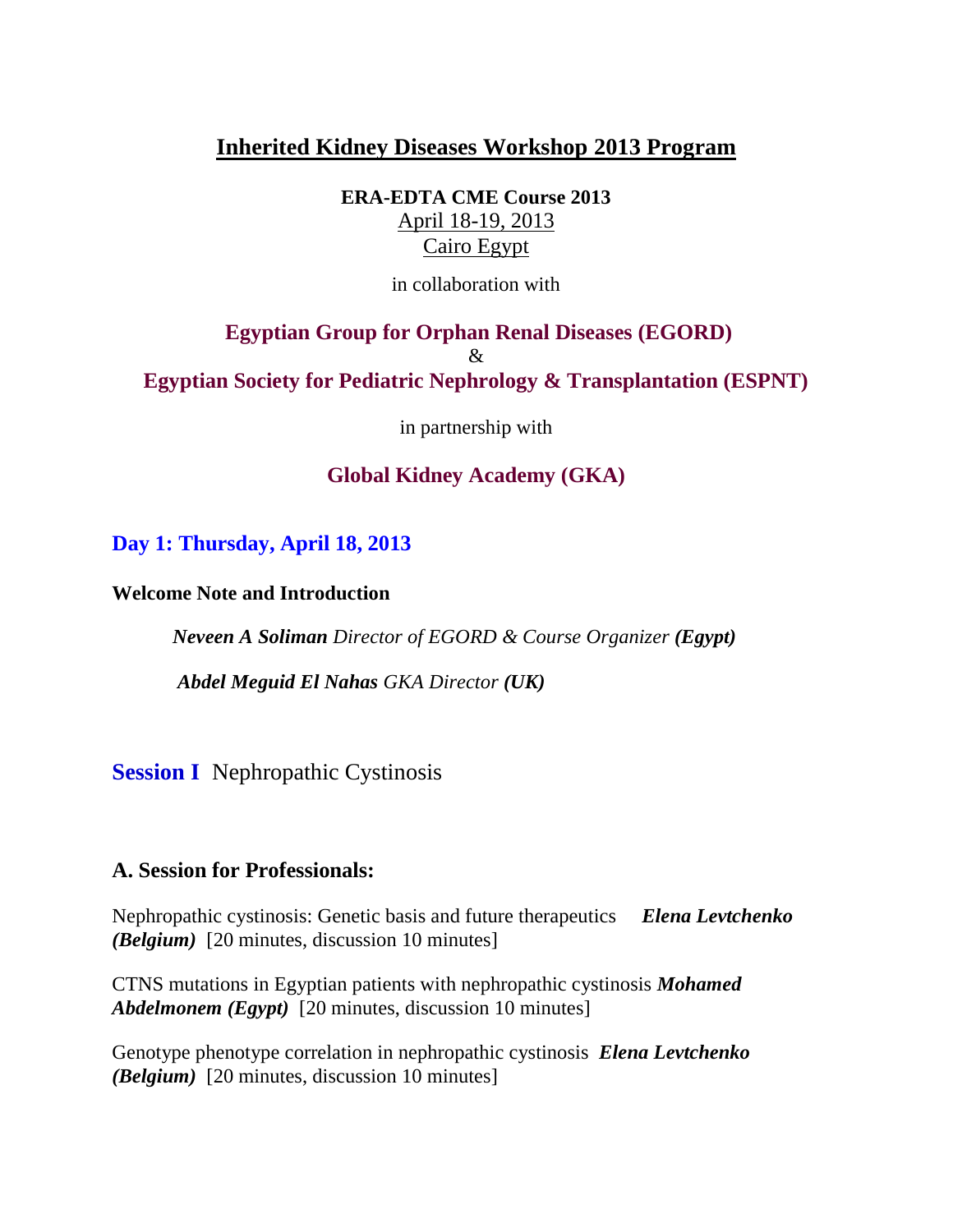# **Inherited Kidney Diseases Workshop 2013 Program**

**ERA-EDTA CME Course 2013** April 18-19, 2013 Cairo Egypt

in collaboration with

# **Egyptian Group for Orphan Renal Diseases (EGORD)** & **Egyptian Society for Pediatric Nephrology & Transplantation (ESPNT)**

in partnership with

## **Global Kidney Academy (GKA)**

**Day 1: Thursday, April 18, 2013**

**Welcome Note and Introduction**

 *Neveen A Soliman Director of EGORD & Course Organizer (Egypt)*

 *Abdel Meguid El Nahas GKA Director (UK)*

**Session I** Nephropathic Cystinosis

### **A. Session for Professionals:**

Nephropathic cystinosis: Genetic basis and future therapeutics *Elena Levtchenko (Belgium)* [20 minutes, discussion 10 minutes]

CTNS mutations in Egyptian patients with nephropathic cystinosis *Mohamed Abdelmonem (Egypt)* [20 minutes, discussion 10 minutes]

Genotype phenotype correlation in nephropathic cystinosis *Elena Levtchenko (Belgium)* [20 minutes, discussion 10 minutes]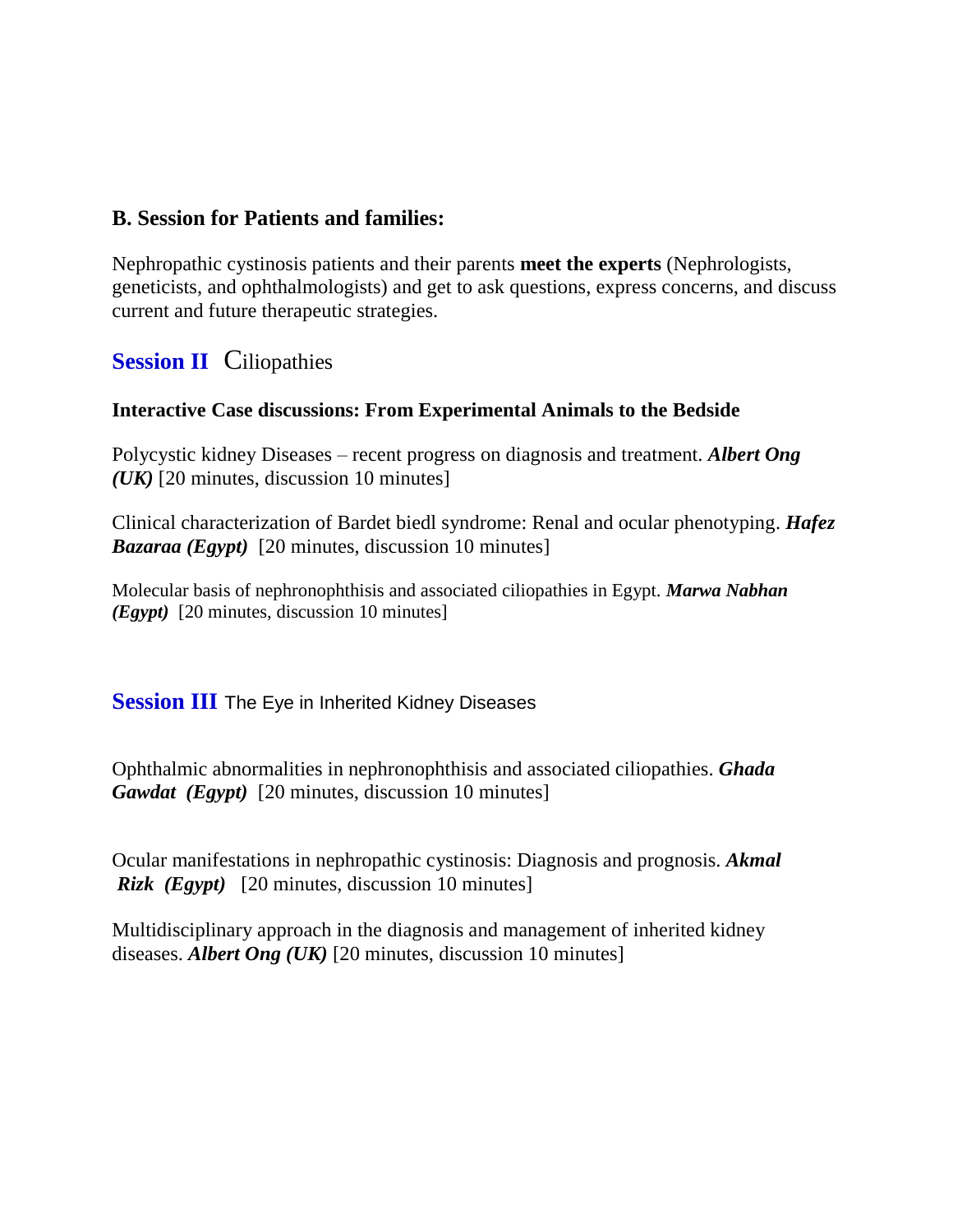### **B. Session for Patients and families:**

Nephropathic cystinosis patients and their parents **meet the experts** (Nephrologists, geneticists, and ophthalmologists) and get to ask questions, express concerns, and discuss current and future therapeutic strategies.

## **Session II** Ciliopathies

#### **Interactive Case discussions: From Experimental Animals to the Bedside**

Polycystic kidney Diseases – recent progress on diagnosis and treatment. *Albert Ong (UK)* [20 minutes, discussion 10 minutes]

Clinical characterization of Bardet biedl syndrome: Renal and ocular phenotyping. *Hafez Bazaraa (Egypt)* [20 minutes, discussion 10 minutes]

Molecular basis of nephronophthisis and associated ciliopathies in Egypt. *Marwa Nabhan (Egypt)* [20 minutes, discussion 10 minutes]

**Session III** The Eye in Inherited Kidney Diseases

Ophthalmic abnormalities in nephronophthisis and associated ciliopathies. *Ghada Gawdat (Egypt)* [20 minutes, discussion 10 minutes]

Ocular manifestations in nephropathic cystinosis: Diagnosis and prognosis. *Akmal Rizk (Egypt)* [20 minutes, discussion 10 minutes]

Multidisciplinary approach in the diagnosis and management of inherited kidney diseases. *Albert Ong (UK)* [20 minutes, discussion 10 minutes]